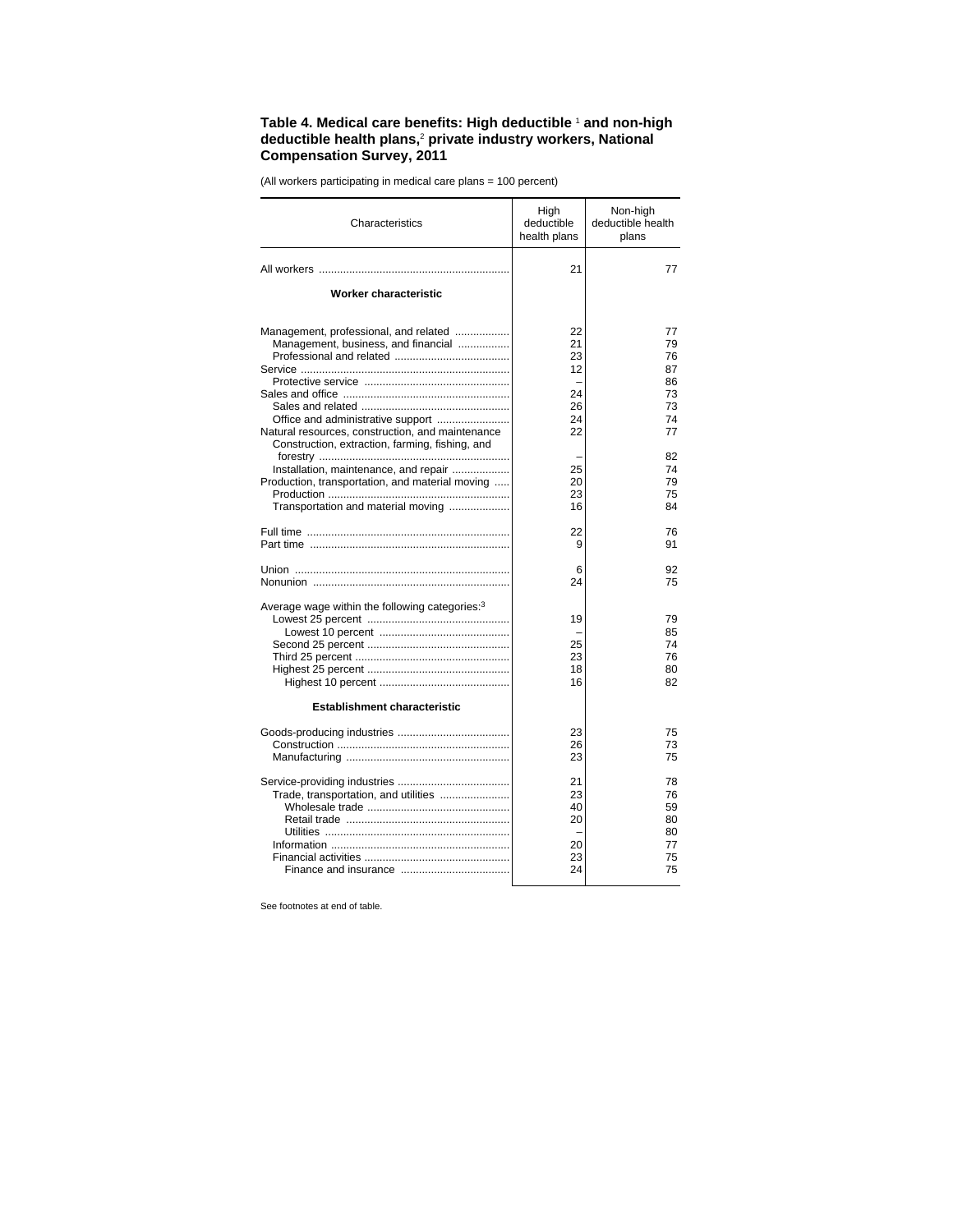## **Table 4. Medical care benefits: High deductible** <sup>1</sup>  **and non-high deductible health plans,**<sup>2</sup>  **private industry workers, National Compensation Survey, 2011**

(All workers participating in medical care plans = 100 percent)

| Characteristics                                                                                                                | High<br>deductible<br>health plans     | Non-high<br>deductible health<br>plans       |
|--------------------------------------------------------------------------------------------------------------------------------|----------------------------------------|----------------------------------------------|
|                                                                                                                                | 21                                     | 77                                           |
| Worker characteristic                                                                                                          |                                        |                                              |
| Management, professional, and related<br>Management, business, and financial<br>Office and administrative support              | 22<br>21<br>23<br>12<br>24<br>26<br>24 | 77<br>79<br>76<br>87<br>86<br>73<br>73<br>74 |
| Natural resources, construction, and maintenance<br>Construction, extraction, farming, fishing, and                            | 22                                     | 77                                           |
| Installation, maintenance, and repair<br>Production, transportation, and material moving<br>Transportation and material moving | 25<br>20<br>23<br>16                   | 82<br>74<br>79<br>75<br>84                   |
|                                                                                                                                | 22<br>9                                | 76<br>91                                     |
|                                                                                                                                | 6<br>24                                | 92<br>75                                     |
| Average wage within the following categories: <sup>3</sup><br><b>Establishment characteristic</b>                              | 19<br>25<br>23<br>18<br>16             | 79<br>85<br>74<br>76<br>80<br>82             |
|                                                                                                                                | 23<br>26<br>23                         | 75<br>73<br>75                               |
| Trade, transportation, and utilities                                                                                           | 21<br>23<br>40<br>20<br>20<br>23<br>24 | 78<br>76<br>59<br>80<br>80<br>77<br>75<br>75 |

See footnotes at end of table.